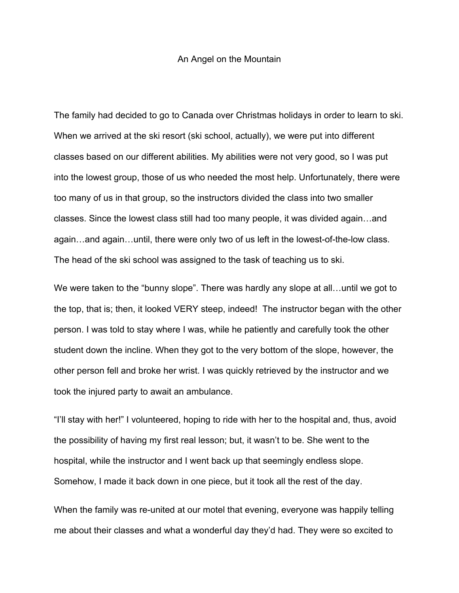## An Angel on the Mountain

The family had decided to go to Canada over Christmas holidays in order to learn to ski. When we arrived at the ski resort (ski school, actually), we were put into different classes based on our different abilities. My abilities were not very good, so I was put into the lowest group, those of us who needed the most help. Unfortunately, there were too many of us in that group, so the instructors divided the class into two smaller classes. Since the lowest class still had too many people, it was divided again…and again…and again…until, there were only two of us left in the lowest-of-the-low class. The head of the ski school was assigned to the task of teaching us to ski.

We were taken to the "bunny slope". There was hardly any slope at all...until we got to the top, that is; then, it looked VERY steep, indeed! The instructor began with the other person. I was told to stay where I was, while he patiently and carefully took the other student down the incline. When they got to the very bottom of the slope, however, the other person fell and broke her wrist. I was quickly retrieved by the instructor and we took the injured party to await an ambulance.

"I'll stay with her!" I volunteered, hoping to ride with her to the hospital and, thus, avoid the possibility of having my first real lesson; but, it wasn't to be. She went to the hospital, while the instructor and I went back up that seemingly endless slope. Somehow, I made it back down in one piece, but it took all the rest of the day.

When the family was re-united at our motel that evening, everyone was happily telling me about their classes and what a wonderful day they'd had. They were so excited to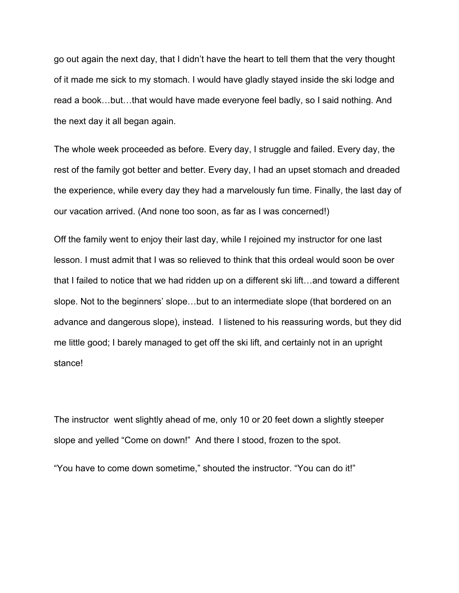go out again the next day, that I didn't have the heart to tell them that the very thought of it made me sick to my stomach. I would have gladly stayed inside the ski lodge and read a book…but…that would have made everyone feel badly, so I said nothing. And the next day it all began again.

The whole week proceeded as before. Every day, I struggle and failed. Every day, the rest of the family got better and better. Every day, I had an upset stomach and dreaded the experience, while every day they had a marvelously fun time. Finally, the last day of our vacation arrived. (And none too soon, as far as I was concerned!)

Off the family went to enjoy their last day, while I rejoined my instructor for one last lesson. I must admit that I was so relieved to think that this ordeal would soon be over that I failed to notice that we had ridden up on a different ski lift…and toward a different slope. Not to the beginners' slope…but to an intermediate slope (that bordered on an advance and dangerous slope), instead. I listened to his reassuring words, but they did me little good; I barely managed to get off the ski lift, and certainly not in an upright stance!

The instructor went slightly ahead of me, only 10 or 20 feet down a slightly steeper slope and yelled "Come on down!" And there I stood, frozen to the spot.

"You have to come down sometime," shouted the instructor. "You can do it!"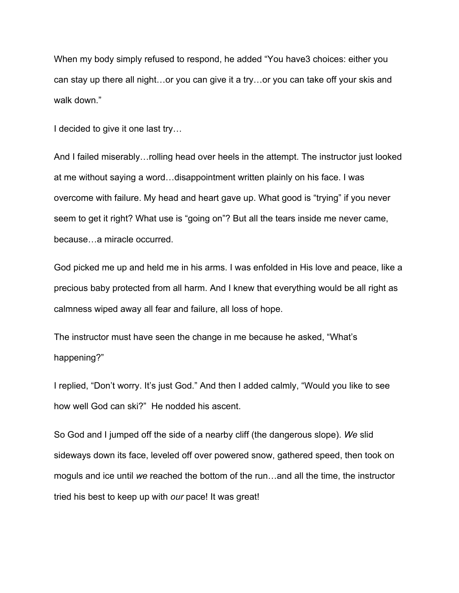When my body simply refused to respond, he added "You have3 choices: either you can stay up there all night…or you can give it a try…or you can take off your skis and walk down."

I decided to give it one last try…

And I failed miserably…rolling head over heels in the attempt. The instructor just looked at me without saying a word…disappointment written plainly on his face. I was overcome with failure. My head and heart gave up. What good is "trying" if you never seem to get it right? What use is "going on"? But all the tears inside me never came, because…a miracle occurred.

God picked me up and held me in his arms. I was enfolded in His love and peace, like a precious baby protected from all harm. And I knew that everything would be all right as calmness wiped away all fear and failure, all loss of hope.

The instructor must have seen the change in me because he asked, "What's happening?"

I replied, "Don't worry. It's just God." And then I added calmly, "Would you like to see how well God can ski?" He nodded his ascent.

So God and I jumped off the side of a nearby cliff (the dangerous slope). *We* slid sideways down its face, leveled off over powered snow, gathered speed, then took on moguls and ice until *we* reached the bottom of the run…and all the time, the instructor tried his best to keep up with *our* pace! It was great!